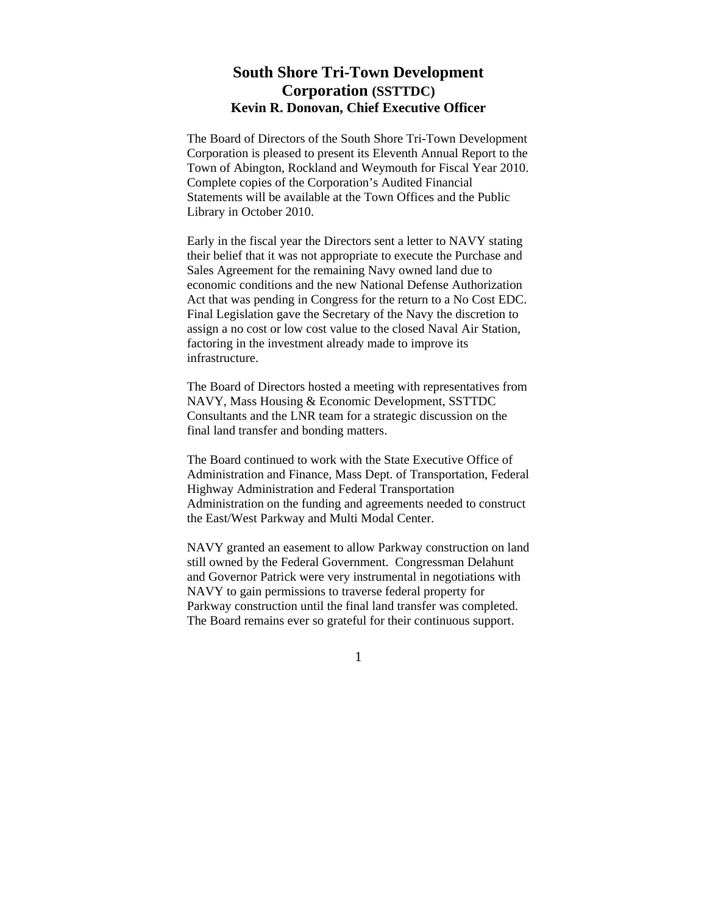## **South Shore Tri-Town Development Corporation (SSTTDC) Kevin R. Donovan, Chief Executive Officer**

The Board of Directors of the South Shore Tri-Town Development Corporation is pleased to present its Eleventh Annual Report to the Town of Abington, Rockland and Weymouth for Fiscal Year 2010. Complete copies of the Corporation's Audited Financial Statements will be available at the Town Offices and the Public Library in October 2010.

Early in the fiscal year the Directors sent a letter to NAVY stating their belief that it was not appropriate to execute the Purchase and Sales Agreement for the remaining Navy owned land due to economic conditions and the new National Defense Authorization Act that was pending in Congress for the return to a No Cost EDC. Final Legislation gave the Secretary of the Navy the discretion to assign a no cost or low cost value to the closed Naval Air Station, factoring in the investment already made to improve its infrastructure.

The Board of Directors hosted a meeting with representatives from NAVY, Mass Housing & Economic Development, SSTTDC Consultants and the LNR team for a strategic discussion on the final land transfer and bonding matters.

The Board continued to work with the State Executive Office of Administration and Finance, Mass Dept. of Transportation, Federal Highway Administration and Federal Transportation Administration on the funding and agreements needed to construct the East/West Parkway and Multi Modal Center.

NAVY granted an easement to allow Parkway construction on land still owned by the Federal Government. Congressman Delahunt and Governor Patrick were very instrumental in negotiations with NAVY to gain permissions to traverse federal property for Parkway construction until the final land transfer was completed. The Board remains ever so grateful for their continuous support.

1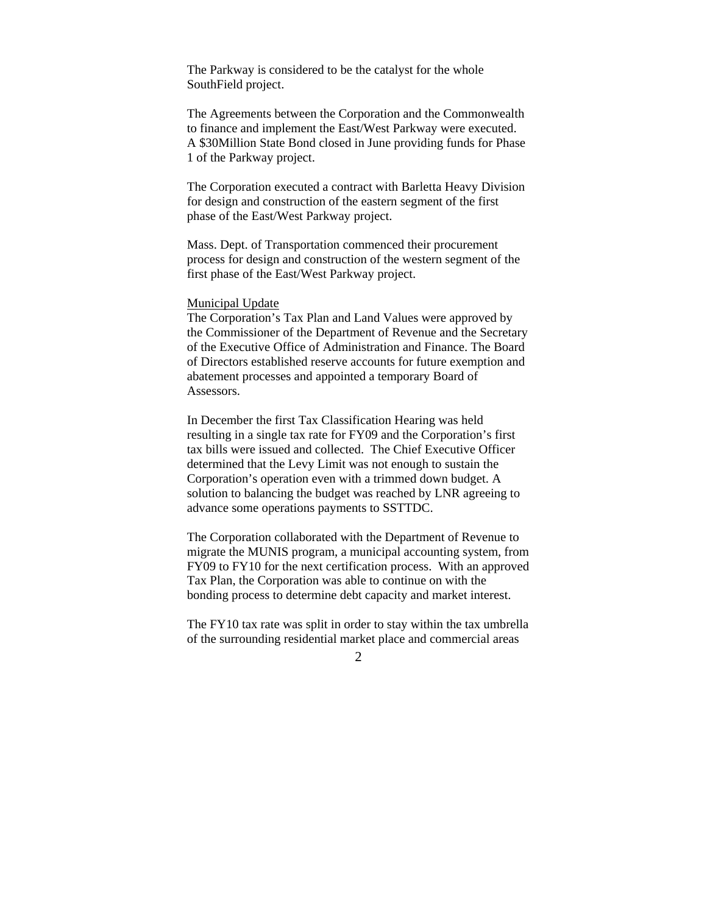The Parkway is considered to be the catalyst for the whole SouthField project.

The Agreements between the Corporation and the Commonwealth to finance and implement the East/West Parkway were executed. A \$30Million State Bond closed in June providing funds for Phase 1 of the Parkway project.

The Corporation executed a contract with Barletta Heavy Division for design and construction of the eastern segment of the first phase of the East/West Parkway project.

Mass. Dept. of Transportation commenced their procurement process for design and construction of the western segment of the first phase of the East/West Parkway project.

## Municipal Update

The Corporation's Tax Plan and Land Values were approved by the Commissioner of the Department of Revenue and the Secretary of the Executive Office of Administration and Finance. The Board of Directors established reserve accounts for future exemption and abatement processes and appointed a temporary Board of Assessors.

In December the first Tax Classification Hearing was held resulting in a single tax rate for FY09 and the Corporation's first tax bills were issued and collected. The Chief Executive Officer determined that the Levy Limit was not enough to sustain the Corporation's operation even with a trimmed down budget. A solution to balancing the budget was reached by LNR agreeing to advance some operations payments to SSTTDC.

The Corporation collaborated with the Department of Revenue to migrate the MUNIS program, a municipal accounting system, from FY09 to FY10 for the next certification process. With an approved Tax Plan, the Corporation was able to continue on with the bonding process to determine debt capacity and market interest.

The FY10 tax rate was split in order to stay within the tax umbrella of the surrounding residential market place and commercial areas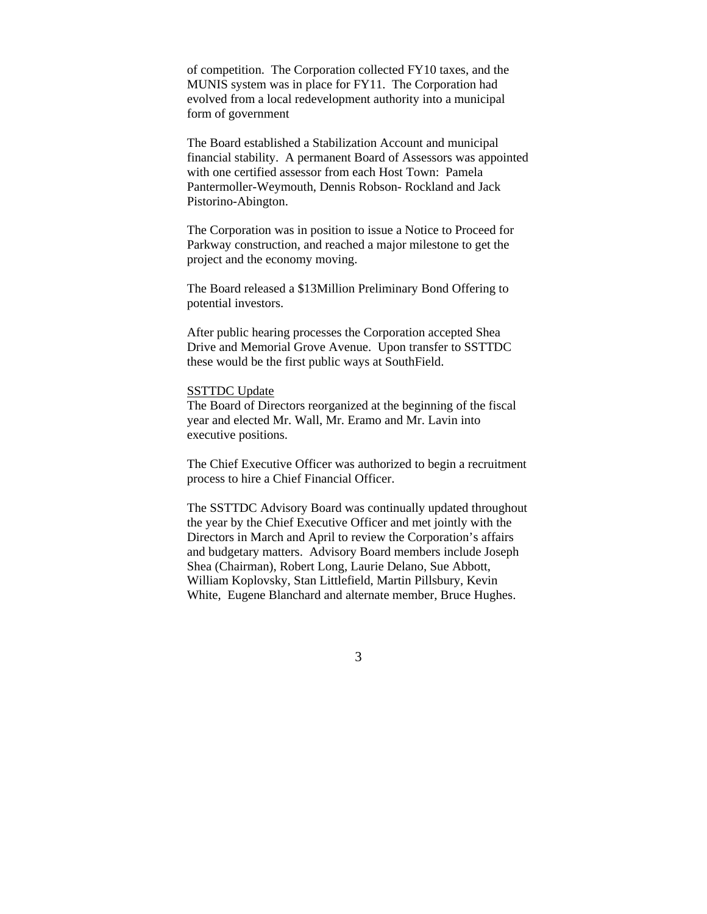of competition. The Corporation collected FY10 taxes, and the MUNIS system was in place for FY11. The Corporation had evolved from a local redevelopment authority into a municipal form of government

The Board established a Stabilization Account and municipal financial stability. A permanent Board of Assessors was appointed with one certified assessor from each Host Town: Pamela Pantermoller-Weymouth, Dennis Robson- Rockland and Jack Pistorino-Abington.

The Corporation was in position to issue a Notice to Proceed for Parkway construction, and reached a major milestone to get the project and the economy moving.

The Board released a \$13Million Preliminary Bond Offering to potential investors.

After public hearing processes the Corporation accepted Shea Drive and Memorial Grove Avenue. Upon transfer to SSTTDC these would be the first public ways at SouthField.

## SSTTDC Update

The Board of Directors reorganized at the beginning of the fiscal year and elected Mr. Wall, Mr. Eramo and Mr. Lavin into executive positions.

The Chief Executive Officer was authorized to begin a recruitment process to hire a Chief Financial Officer.

The SSTTDC Advisory Board was continually updated throughout the year by the Chief Executive Officer and met jointly with the Directors in March and April to review the Corporation's affairs and budgetary matters. Advisory Board members include Joseph Shea (Chairman), Robert Long, Laurie Delano, Sue Abbott, William Koplovsky, Stan Littlefield, Martin Pillsbury, Kevin White, Eugene Blanchard and alternate member, Bruce Hughes.

3